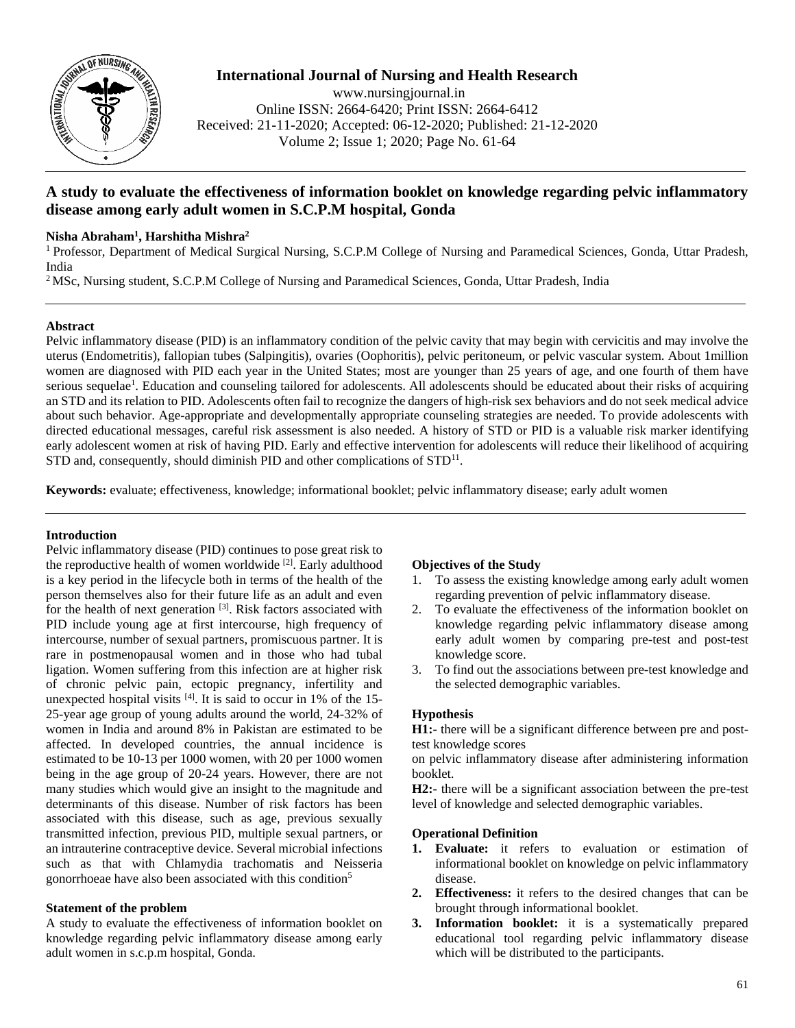

# **International Journal of Nursing and Health Research**

www.nursingjournal.in Online ISSN: 2664-6420; Print ISSN: 2664-6412 Received: 21-11-2020; Accepted: 06-12-2020; Published: 21-12-2020 Volume 2; Issue 1; 2020; Page No. 61-64

# **A study to evaluate the effectiveness of information booklet on knowledge regarding pelvic inflammatory disease among early adult women in S.C.P.M hospital, Gonda**

# **Nisha Abraham<sup>1</sup> , Harshitha Mishra<sup>2</sup>**

<sup>1</sup> Professor, Department of Medical Surgical Nursing, S.C.P.M College of Nursing and Paramedical Sciences, Gonda, Uttar Pradesh, India

<sup>2</sup>MSc, Nursing student, S.C.P.M College of Nursing and Paramedical Sciences, Gonda, Uttar Pradesh, India

# **Abstract**

Pelvic inflammatory disease (PID) is an inflammatory condition of the pelvic cavity that may begin with cervicitis and may involve the uterus (Endometritis), fallopian tubes (Salpingitis), ovaries (Oophoritis), pelvic peritoneum, or pelvic vascular system. About 1million women are diagnosed with PID each year in the United States; most are younger than 25 years of age, and one fourth of them have serious sequelae<sup>1</sup>. Education and counseling tailored for adolescents. All adolescents should be educated about their risks of acquiring an STD and its relation to PID. Adolescents often fail to recognize the dangers of high-risk sex behaviors and do not seek medical advice about such behavior. Age-appropriate and developmentally appropriate counseling strategies are needed. To provide adolescents with directed educational messages, careful risk assessment is also needed. A history of STD or PID is a valuable risk marker identifying early adolescent women at risk of having PID. Early and effective intervention for adolescents will reduce their likelihood of acquiring STD and, consequently, should diminish PID and other complications of STD<sup>11</sup>.

**Keywords:** evaluate; effectiveness, knowledge; informational booklet; pelvic inflammatory disease; early adult women

# **Introduction**

Pelvic inflammatory disease (PID) continues to pose great risk to the reproductive health of women worldwide  $[2]$ . Early adulthood is a key period in the lifecycle both in terms of the health of the person themselves also for their future life as an adult and even for the health of next generation  $[3]$ . Risk factors associated with PID include young age at first intercourse, high frequency of intercourse, number of sexual partners, promiscuous partner. It is rare in postmenopausal women and in those who had tubal ligation. Women suffering from this infection are at higher risk of chronic pelvic pain, ectopic pregnancy, infertility and unexpected hospital visits  $^{[4]}$ . It is said to occur in 1% of the 15-25-year age group of young adults around the world, 24-32% of women in India and around 8% in Pakistan are estimated to be affected. In developed countries, the annual incidence is estimated to be 10-13 per 1000 women, with 20 per 1000 women being in the age group of 20-24 years. However, there are not many studies which would give an insight to the magnitude and determinants of this disease. Number of risk factors has been associated with this disease, such as age, previous sexually transmitted infection, previous PID, multiple sexual partners, or an intrauterine contraceptive device. Several microbial infections such as that with Chlamydia trachomatis and Neisseria gonorrhoeae have also been associated with this condition<sup>5</sup>

# **Statement of the problem**

A study to evaluate the effectiveness of information booklet on knowledge regarding pelvic inflammatory disease among early adult women in s.c.p.m hospital, Gonda.

# **Objectives of the Study**

- 1. To assess the existing knowledge among early adult women regarding prevention of pelvic inflammatory disease.
- 2. To evaluate the effectiveness of the information booklet on knowledge regarding pelvic inflammatory disease among early adult women by comparing pre-test and post-test knowledge score.
- 3. To find out the associations between pre-test knowledge and the selected demographic variables.

### **Hypothesis**

**H1:-** there will be a significant difference between pre and posttest knowledge scores

on pelvic inflammatory disease after administering information booklet.

**H2:-** there will be a significant association between the pre-test level of knowledge and selected demographic variables.

# **Operational Definition**

- **1. Evaluate:** it refers to evaluation or estimation of informational booklet on knowledge on pelvic inflammatory disease.
- **2. Effectiveness:** it refers to the desired changes that can be brought through informational booklet.
- **3. Information booklet:** it is a systematically prepared educational tool regarding pelvic inflammatory disease which will be distributed to the participants.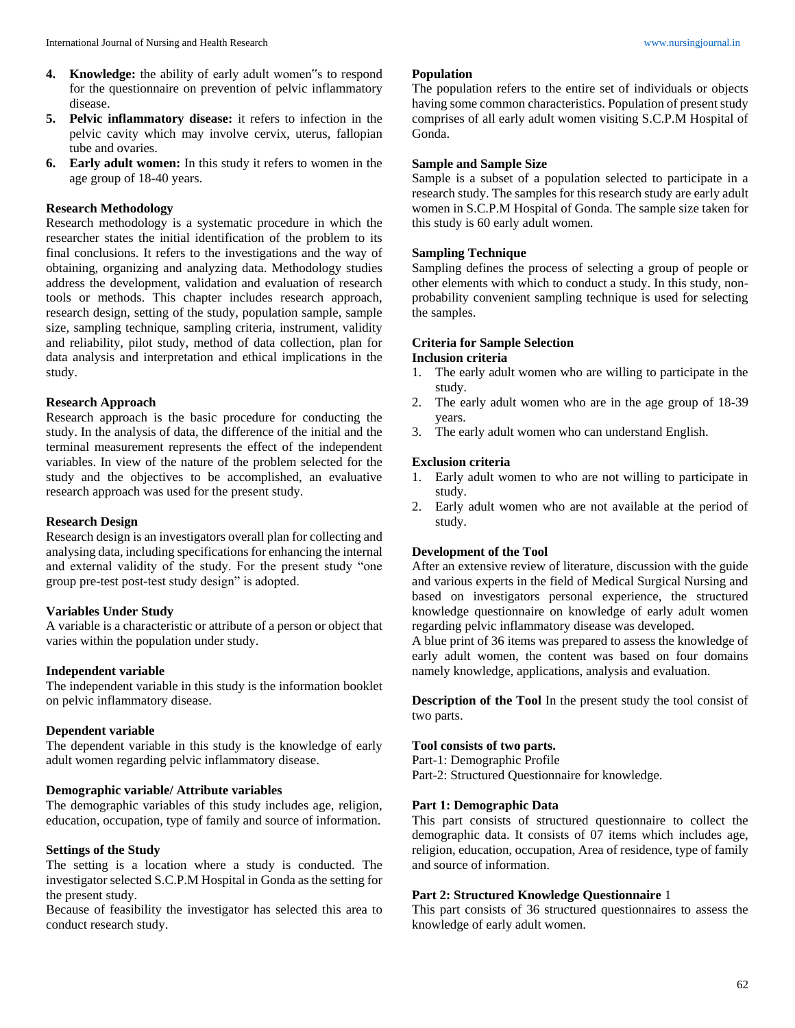- **4. Knowledge:** the ability of early adult women"s to respond for the questionnaire on prevention of pelvic inflammatory disease.
- **5. Pelvic inflammatory disease:** it refers to infection in the pelvic cavity which may involve cervix, uterus, fallopian tube and ovaries.
- **6. Early adult women:** In this study it refers to women in the age group of 18-40 years.

#### **Research Methodology**

Research methodology is a systematic procedure in which the researcher states the initial identification of the problem to its final conclusions. It refers to the investigations and the way of obtaining, organizing and analyzing data. Methodology studies address the development, validation and evaluation of research tools or methods. This chapter includes research approach, research design, setting of the study, population sample, sample size, sampling technique, sampling criteria, instrument, validity and reliability, pilot study, method of data collection, plan for data analysis and interpretation and ethical implications in the study.

#### **Research Approach**

Research approach is the basic procedure for conducting the study. In the analysis of data, the difference of the initial and the terminal measurement represents the effect of the independent variables. In view of the nature of the problem selected for the study and the objectives to be accomplished, an evaluative research approach was used for the present study.

### **Research Design**

Research design is an investigators overall plan for collecting and analysing data, including specifications for enhancing the internal and external validity of the study. For the present study "one group pre-test post-test study design" is adopted.

### **Variables Under Study**

A variable is a characteristic or attribute of a person or object that varies within the population under study.

### **Independent variable**

The independent variable in this study is the information booklet on pelvic inflammatory disease.

#### **Dependent variable**

The dependent variable in this study is the knowledge of early adult women regarding pelvic inflammatory disease.

#### **Demographic variable/ Attribute variables**

The demographic variables of this study includes age, religion, education, occupation, type of family and source of information.

#### **Settings of the Study**

The setting is a location where a study is conducted. The investigator selected S.C.P.M Hospital in Gonda as the setting for the present study.

Because of feasibility the investigator has selected this area to conduct research study.

#### **Population**

The population refers to the entire set of individuals or objects having some common characteristics. Population of present study comprises of all early adult women visiting S.C.P.M Hospital of Gonda.

#### **Sample and Sample Size**

Sample is a subset of a population selected to participate in a research study. The samples for this research study are early adult women in S.C.P.M Hospital of Gonda. The sample size taken for this study is 60 early adult women.

#### **Sampling Technique**

Sampling defines the process of selecting a group of people or other elements with which to conduct a study. In this study, nonprobability convenient sampling technique is used for selecting the samples.

#### **Criteria for Sample Selection Inclusion criteria**

- 1. The early adult women who are willing to participate in the study.
- 2. The early adult women who are in the age group of 18-39 years.
- 3. The early adult women who can understand English.

#### **Exclusion criteria**

- 1. Early adult women to who are not willing to participate in study.
- 2. Early adult women who are not available at the period of study.

#### **Development of the Tool**

After an extensive review of literature, discussion with the guide and various experts in the field of Medical Surgical Nursing and based on investigators personal experience, the structured knowledge questionnaire on knowledge of early adult women regarding pelvic inflammatory disease was developed.

A blue print of 36 items was prepared to assess the knowledge of early adult women, the content was based on four domains namely knowledge, applications, analysis and evaluation.

**Description of the Tool** In the present study the tool consist of two parts.

# **Tool consists of two parts.**

Part-1: Demographic Profile Part-2: Structured Questionnaire for knowledge.

### **Part 1: Demographic Data**

This part consists of structured questionnaire to collect the demographic data. It consists of 07 items which includes age, religion, education, occupation, Area of residence, type of family and source of information.

# **Part 2: Structured Knowledge Questionnaire** 1

This part consists of 36 structured questionnaires to assess the knowledge of early adult women.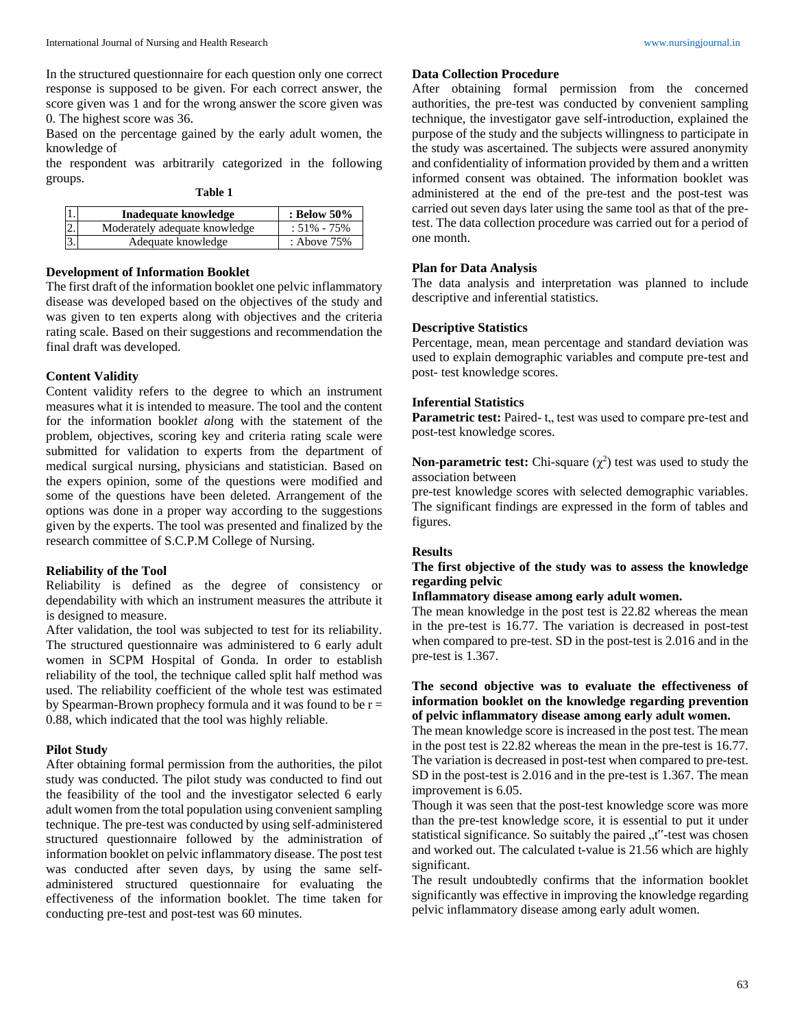In the structured questionnaire for each question only one correct response is supposed to be given. For each correct answer, the score given was 1 and for the wrong answer the score given was 0. The highest score was 36.

Based on the percentage gained by the early adult women, the knowledge of

the respondent was arbitrarily categorized in the following groups.

| L<br>.,<br>۰,<br>۰. |
|---------------------|
|---------------------|

| 1.               | Inadequate knowledge          | : Below 50%     |
|------------------|-------------------------------|-----------------|
| $\overline{2}$ . | Moderately adequate knowledge | $: 51\% - 75\%$ |
| $\overline{3}$ . | Adequate knowledge            | : Above 75%     |

# **Development of Information Booklet**

The first draft of the information booklet one pelvic inflammatory disease was developed based on the objectives of the study and was given to ten experts along with objectives and the criteria rating scale. Based on their suggestions and recommendation the final draft was developed.

#### **Content Validity**

Content validity refers to the degree to which an instrument measures what it is intended to measure. The tool and the content for the information bookl*et al*ong with the statement of the problem, objectives, scoring key and criteria rating scale were submitted for validation to experts from the department of medical surgical nursing, physicians and statistician. Based on the expers opinion, some of the questions were modified and some of the questions have been deleted. Arrangement of the options was done in a proper way according to the suggestions given by the experts. The tool was presented and finalized by the research committee of S.C.P.M College of Nursing.

### **Reliability of the Tool**

Reliability is defined as the degree of consistency or dependability with which an instrument measures the attribute it is designed to measure.

After validation, the tool was subjected to test for its reliability. The structured questionnaire was administered to 6 early adult women in SCPM Hospital of Gonda. In order to establish reliability of the tool, the technique called split half method was used. The reliability coefficient of the whole test was estimated by Spearman-Brown prophecy formula and it was found to be  $r =$ 0.88, which indicated that the tool was highly reliable.

### **Pilot Study**

After obtaining formal permission from the authorities, the pilot study was conducted. The pilot study was conducted to find out the feasibility of the tool and the investigator selected 6 early adult women from the total population using convenient sampling technique. The pre-test was conducted by using self-administered structured questionnaire followed by the administration of information booklet on pelvic inflammatory disease. The post test was conducted after seven days, by using the same selfadministered structured questionnaire for evaluating the effectiveness of the information booklet. The time taken for conducting pre-test and post-test was 60 minutes.

# **Data Collection Procedure**

After obtaining formal permission from the concerned authorities, the pre-test was conducted by convenient sampling technique, the investigator gave self-introduction, explained the purpose of the study and the subjects willingness to participate in the study was ascertained. The subjects were assured anonymity and confidentiality of information provided by them and a written informed consent was obtained. The information booklet was administered at the end of the pre-test and the post-test was carried out seven days later using the same tool as that of the pretest. The data collection procedure was carried out for a period of one month.

#### **Plan for Data Analysis**

The data analysis and interpretation was planned to include descriptive and inferential statistics.

#### **Descriptive Statistics**

Percentage, mean, mean percentage and standard deviation was used to explain demographic variables and compute pre-test and post- test knowledge scores.

# **Inferential Statistics**

**Parametric test:** Paired-t, test was used to compare pre-test and post-test knowledge scores.

# **Non-parametric test:** Chi-square  $(\chi^2)$  test was used to study the association between

pre-test knowledge scores with selected demographic variables. The significant findings are expressed in the form of tables and figures.

### **Results**

# **The first objective of the study was to assess the knowledge regarding pelvic**

### **Inflammatory disease among early adult women.**

The mean knowledge in the post test is 22.82 whereas the mean in the pre-test is 16.77. The variation is decreased in post-test when compared to pre-test. SD in the post-test is 2.016 and in the pre-test is 1.367.

# **The second objective was to evaluate the effectiveness of information booklet on the knowledge regarding prevention of pelvic inflammatory disease among early adult women.**

The mean knowledge score is increased in the post test. The mean in the post test is 22.82 whereas the mean in the pre-test is 16.77. The variation is decreased in post-test when compared to pre-test. SD in the post-test is 2.016 and in the pre-test is 1.367. The mean improvement is 6.05.

Though it was seen that the post-test knowledge score was more than the pre-test knowledge score, it is essential to put it under statistical significance. So suitably the paired "t"-test was chosen and worked out. The calculated t-value is 21.56 which are highly significant.

The result undoubtedly confirms that the information booklet significantly was effective in improving the knowledge regarding pelvic inflammatory disease among early adult women.